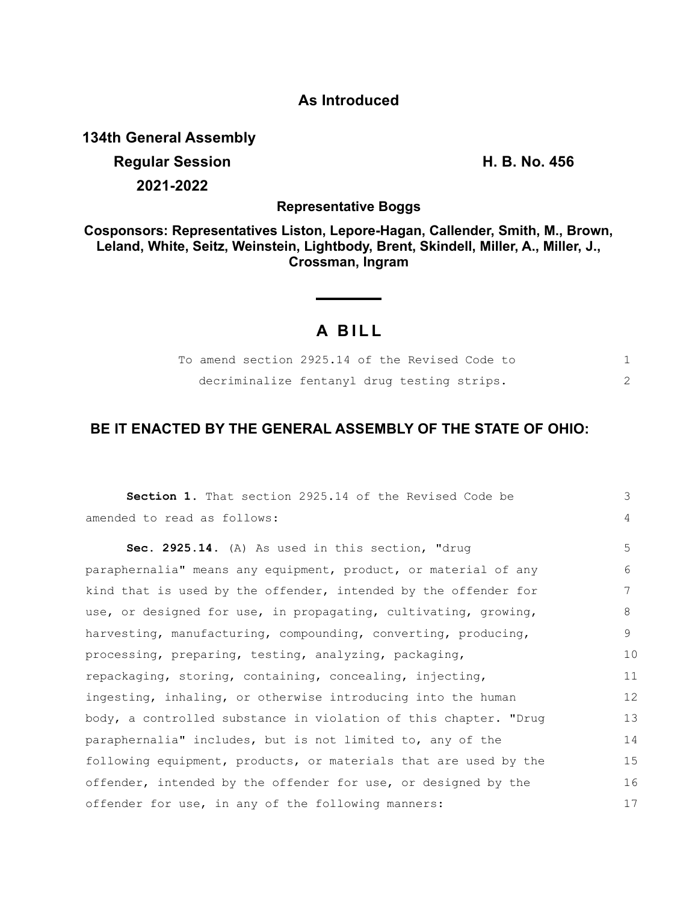### **As Introduced**

**134th General Assembly Regular Session H. B. No. 456 2021-2022**

**Representative Boggs**

**Cosponsors: Representatives Liston, Lepore-Hagan, Callender, Smith, M., Brown, Leland, White, Seitz, Weinstein, Lightbody, Brent, Skindell, Miller, A., Miller, J., Crossman, Ingram**

# **A B I L L**

|  |                                             |  | To amend section 2925.14 of the Revised Code to |  |
|--|---------------------------------------------|--|-------------------------------------------------|--|
|  | decriminalize fentanyl drug testing strips. |  |                                                 |  |

## **BE IT ENACTED BY THE GENERAL ASSEMBLY OF THE STATE OF OHIO:**

| <b>Section 1.</b> That section 2925.14 of the Revised Code be    | 3              |
|------------------------------------------------------------------|----------------|
| amended to read as follows:                                      | $\overline{4}$ |
| Sec. 2925.14. (A) As used in this section, "drug                 | 5              |
| paraphernalia" means any equipment, product, or material of any  | 6              |
| kind that is used by the offender, intended by the offender for  | 7              |
| use, or designed for use, in propagating, cultivating, growing,  | 8              |
| harvesting, manufacturing, compounding, converting, producing,   | 9              |
| processing, preparing, testing, analyzing, packaging,            | 10             |
| repackaging, storing, containing, concealing, injecting,         | 11             |
| ingesting, inhaling, or otherwise introducing into the human     | 12             |
| body, a controlled substance in violation of this chapter. "Drug | 13             |
| paraphernalia" includes, but is not limited to, any of the       | 14             |
| following equipment, products, or materials that are used by the | 15             |
| offender, intended by the offender for use, or designed by the   | 16             |
| offender for use, in any of the following manners:               | 17             |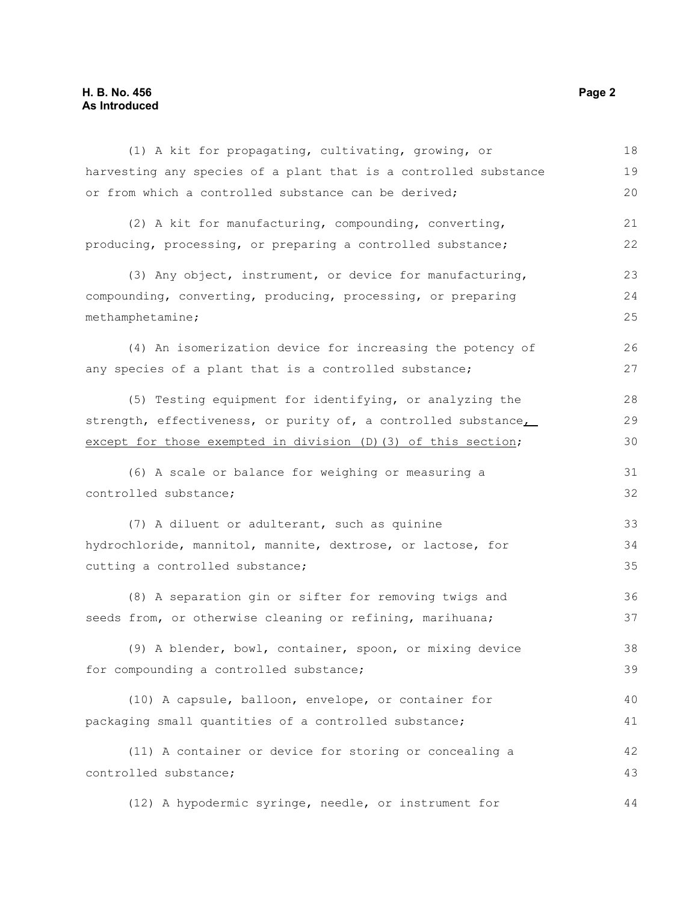#### **H. B. No. 456 Page 2 As Introduced**

| (1) A kit for propagating, cultivating, growing, or              | 18 |  |  |  |
|------------------------------------------------------------------|----|--|--|--|
| harvesting any species of a plant that is a controlled substance | 19 |  |  |  |
| or from which a controlled substance can be derived;             | 20 |  |  |  |
| (2) A kit for manufacturing, compounding, converting,            | 21 |  |  |  |
| producing, processing, or preparing a controlled substance;      | 22 |  |  |  |
| (3) Any object, instrument, or device for manufacturing,         | 23 |  |  |  |
| compounding, converting, producing, processing, or preparing     |    |  |  |  |
| methamphetamine;                                                 | 25 |  |  |  |
| (4) An isomerization device for increasing the potency of        | 26 |  |  |  |
| any species of a plant that is a controlled substance;           | 27 |  |  |  |
| (5) Testing equipment for identifying, or analyzing the          | 28 |  |  |  |
| strength, effectiveness, or purity of, a controlled substance    | 29 |  |  |  |
| except for those exempted in division (D) (3) of this section;   | 30 |  |  |  |
| (6) A scale or balance for weighing or measuring a               | 31 |  |  |  |
| controlled substance;                                            | 32 |  |  |  |
| (7) A diluent or adulterant, such as quinine                     | 33 |  |  |  |
| hydrochloride, mannitol, mannite, dextrose, or lactose, for      | 34 |  |  |  |
| cutting a controlled substance;                                  | 35 |  |  |  |
| (8) A separation gin or sifter for removing twigs and            | 36 |  |  |  |
| seeds from, or otherwise cleaning or refining, marihuana;        | 37 |  |  |  |
| (9) A blender, bowl, container, spoon, or mixing device          | 38 |  |  |  |
| for compounding a controlled substance;                          | 39 |  |  |  |
| (10) A capsule, balloon, envelope, or container for              | 40 |  |  |  |
| packaging small quantities of a controlled substance;            | 41 |  |  |  |
| (11) A container or device for storing or concealing a           | 42 |  |  |  |
| controlled substance;                                            | 43 |  |  |  |
| (12) A hypodermic syringe, needle, or instrument for             | 44 |  |  |  |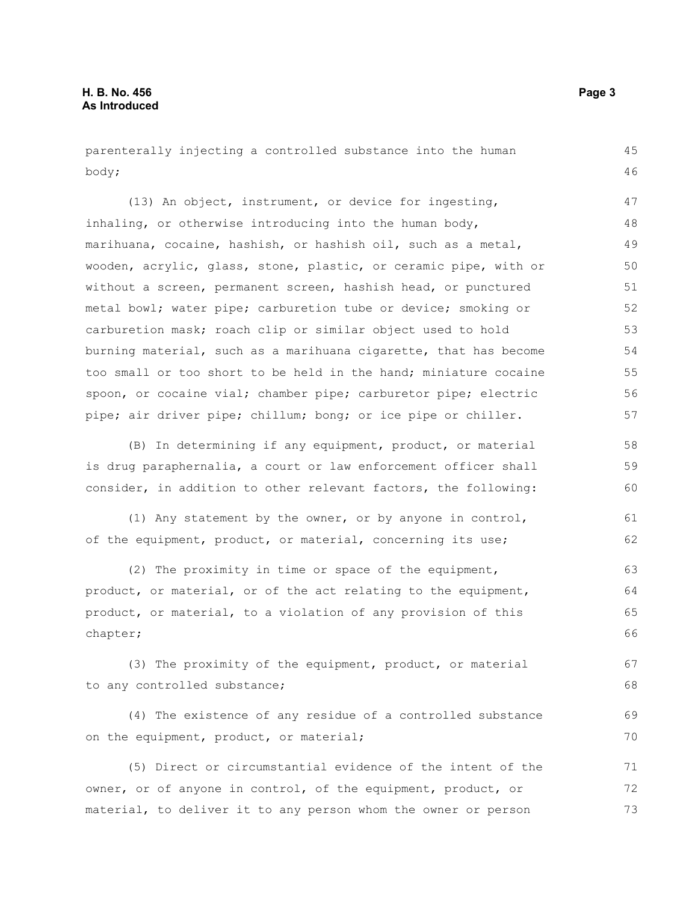parenterally injecting a controlled substance into the human body;

(13) An object, instrument, or device for ingesting, inhaling, or otherwise introducing into the human body, marihuana, cocaine, hashish, or hashish oil, such as a metal, wooden, acrylic, glass, stone, plastic, or ceramic pipe, with or without a screen, permanent screen, hashish head, or punctured metal bowl; water pipe; carburetion tube or device; smoking or carburetion mask; roach clip or similar object used to hold burning material, such as a marihuana cigarette, that has become too small or too short to be held in the hand; miniature cocaine spoon, or cocaine vial; chamber pipe; carburetor pipe; electric pipe; air driver pipe; chillum; bong; or ice pipe or chiller. 47 48 49 50 51 52 53 54 55 56 57

(B) In determining if any equipment, product, or material is drug paraphernalia, a court or law enforcement officer shall consider, in addition to other relevant factors, the following: 58 59 60

(1) Any statement by the owner, or by anyone in control, of the equipment, product, or material, concerning its use;

(2) The proximity in time or space of the equipment, product, or material, or of the act relating to the equipment, product, or material, to a violation of any provision of this chapter; 63 64 65 66

(3) The proximity of the equipment, product, or material to any controlled substance; 67 68

(4) The existence of any residue of a controlled substance on the equipment, product, or material;

(5) Direct or circumstantial evidence of the intent of the owner, or of anyone in control, of the equipment, product, or material, to deliver it to any person whom the owner or person 71 72 73

45 46

61 62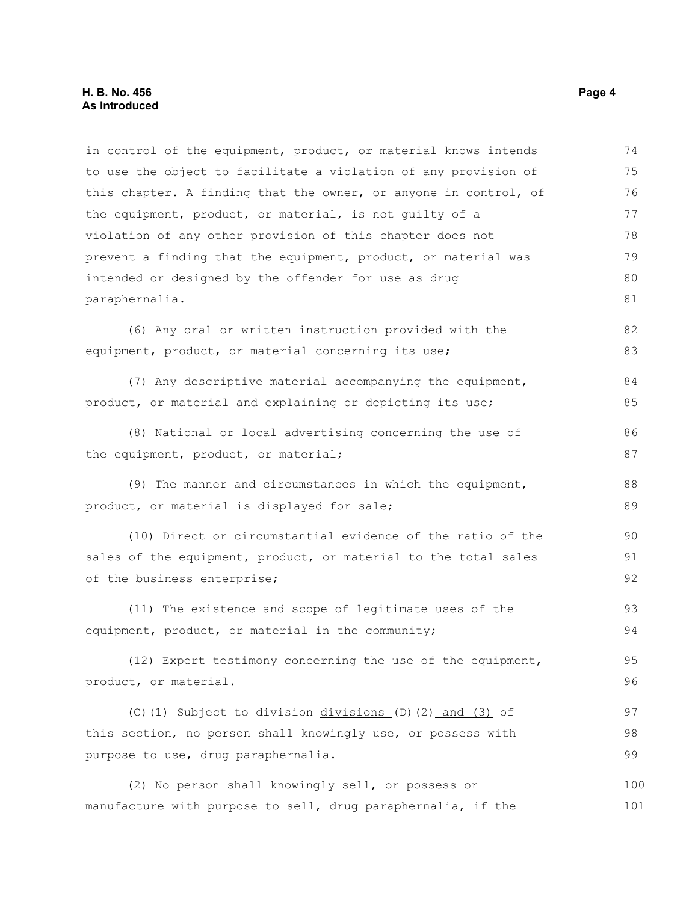in control of the equipment, product, or material knows intends to use the object to facilitate a violation of any provision of this chapter. A finding that the owner, or anyone in control, of the equipment, product, or material, is not guilty of a violation of any other provision of this chapter does not prevent a finding that the equipment, product, or material was intended or designed by the offender for use as drug paraphernalia. 74 75 76 77 78 79 80 81

(6) Any oral or written instruction provided with the equipment, product, or material concerning its use; 82 83

(7) Any descriptive material accompanying the equipment, product, or material and explaining or depicting its use; 84 85

(8) National or local advertising concerning the use of the equipment, product, or material; 86 87

(9) The manner and circumstances in which the equipment, product, or material is displayed for sale;

(10) Direct or circumstantial evidence of the ratio of the sales of the equipment, product, or material to the total sales of the business enterprise; 90 91 92

(11) The existence and scope of legitimate uses of the equipment, product, or material in the community; 93 94

(12) Expert testimony concerning the use of the equipment, product, or material. 95 96

(C)(1) Subject to division divisions (D)(2) and (3) of this section, no person shall knowingly use, or possess with purpose to use, drug paraphernalia. 97 98 99

(2) No person shall knowingly sell, or possess or manufacture with purpose to sell, drug paraphernalia, if the 100 101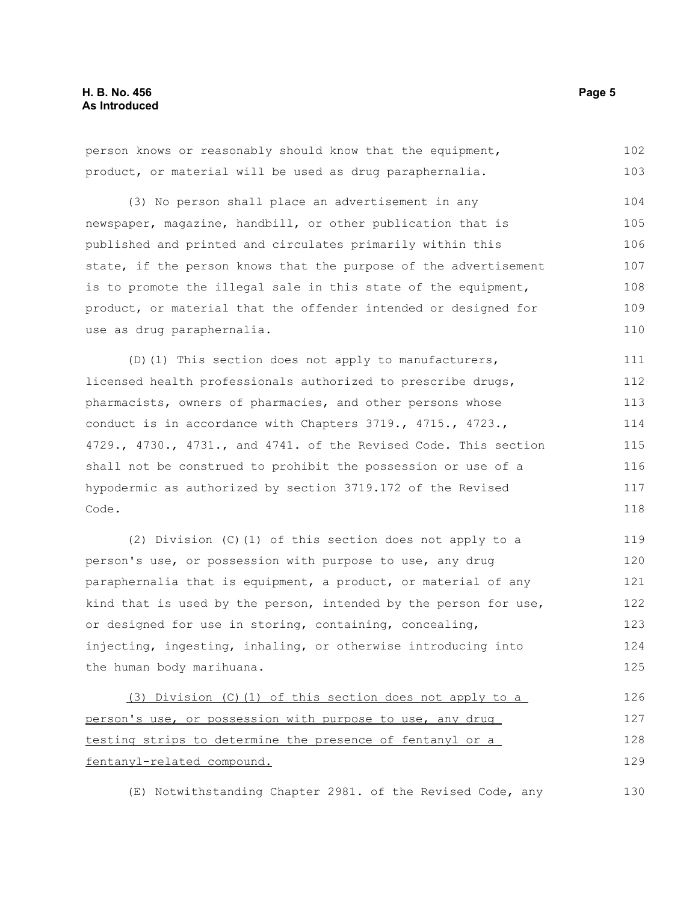person knows or reasonably should know that the equipment, product, or material will be used as drug paraphernalia. (3) No person shall place an advertisement in any newspaper, magazine, handbill, or other publication that is published and printed and circulates primarily within this state, if the person knows that the purpose of the advertisement is to promote the illegal sale in this state of the equipment, product, or material that the offender intended or designed for use as drug paraphernalia. (D)(1) This section does not apply to manufacturers, licensed health professionals authorized to prescribe drugs, pharmacists, owners of pharmacies, and other persons whose conduct is in accordance with Chapters 3719., 4715., 4723., 4729., 4730., 4731., and 4741. of the Revised Code. This section shall not be construed to prohibit the possession or use of a hypodermic as authorized by section 3719.172 of the Revised Code. (2) Division (C)(1) of this section does not apply to a person's use, or possession with purpose to use, any drug paraphernalia that is equipment, a product, or material of any kind that is used by the person, intended by the person for use, or designed for use in storing, containing, concealing, injecting, ingesting, inhaling, or otherwise introducing into the human body marihuana. (3) Division (C)(1) of this section does not apply to a person's use, or possession with purpose to use, any drug testing strips to determine the presence of fentanyl or a fentanyl-related compound. 102 103 104 105 106 107 108 109 110 111 112 113 114 115 116 117 118 119 120 121 122 123 124 125 126 127 128 129

(E) Notwithstanding Chapter 2981. of the Revised Code, any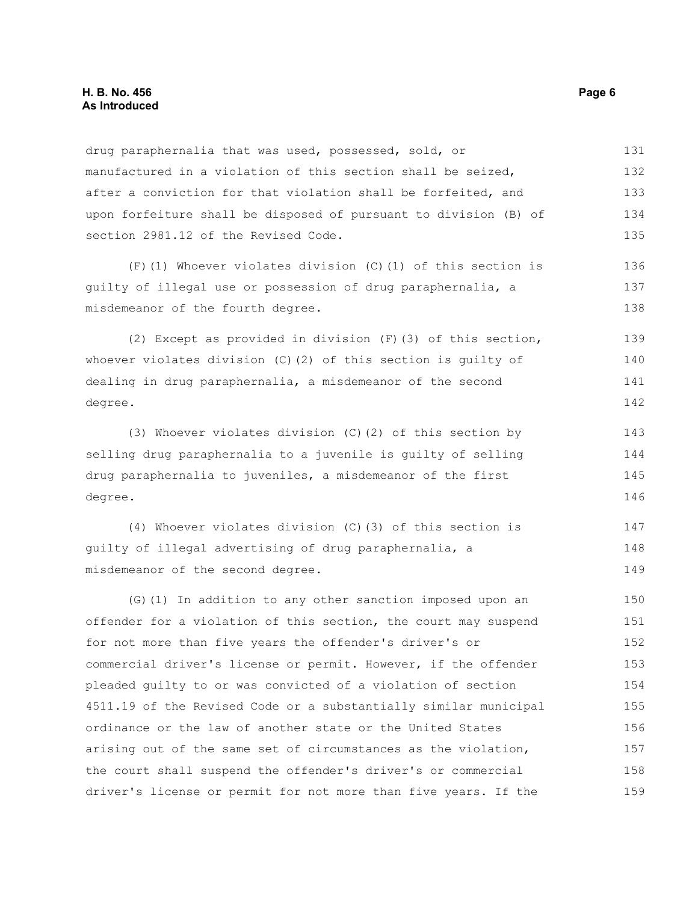#### **H. B. No. 456** Page 6 **As Introduced**

drug paraphernalia that was used, possessed, sold, or manufactured in a violation of this section shall be seized, after a conviction for that violation shall be forfeited, and upon forfeiture shall be disposed of pursuant to division (B) of section 2981.12 of the Revised Code. 131 132 133 134 135

(F)(1) Whoever violates division (C)(1) of this section is guilty of illegal use or possession of drug paraphernalia, a misdemeanor of the fourth degree.

(2) Except as provided in division (F)(3) of this section, whoever violates division (C)(2) of this section is guilty of dealing in drug paraphernalia, a misdemeanor of the second degree. 139 140 141 142

(3) Whoever violates division (C)(2) of this section by selling drug paraphernalia to a juvenile is guilty of selling drug paraphernalia to juveniles, a misdemeanor of the first degree. 143 144 145 146

(4) Whoever violates division (C)(3) of this section is guilty of illegal advertising of drug paraphernalia, a misdemeanor of the second degree. 147 148 149

(G)(1) In addition to any other sanction imposed upon an offender for a violation of this section, the court may suspend for not more than five years the offender's driver's or commercial driver's license or permit. However, if the offender pleaded guilty to or was convicted of a violation of section 4511.19 of the Revised Code or a substantially similar municipal ordinance or the law of another state or the United States arising out of the same set of circumstances as the violation, the court shall suspend the offender's driver's or commercial driver's license or permit for not more than five years. If the 150 151 152 153 154 155 156 157 158 159